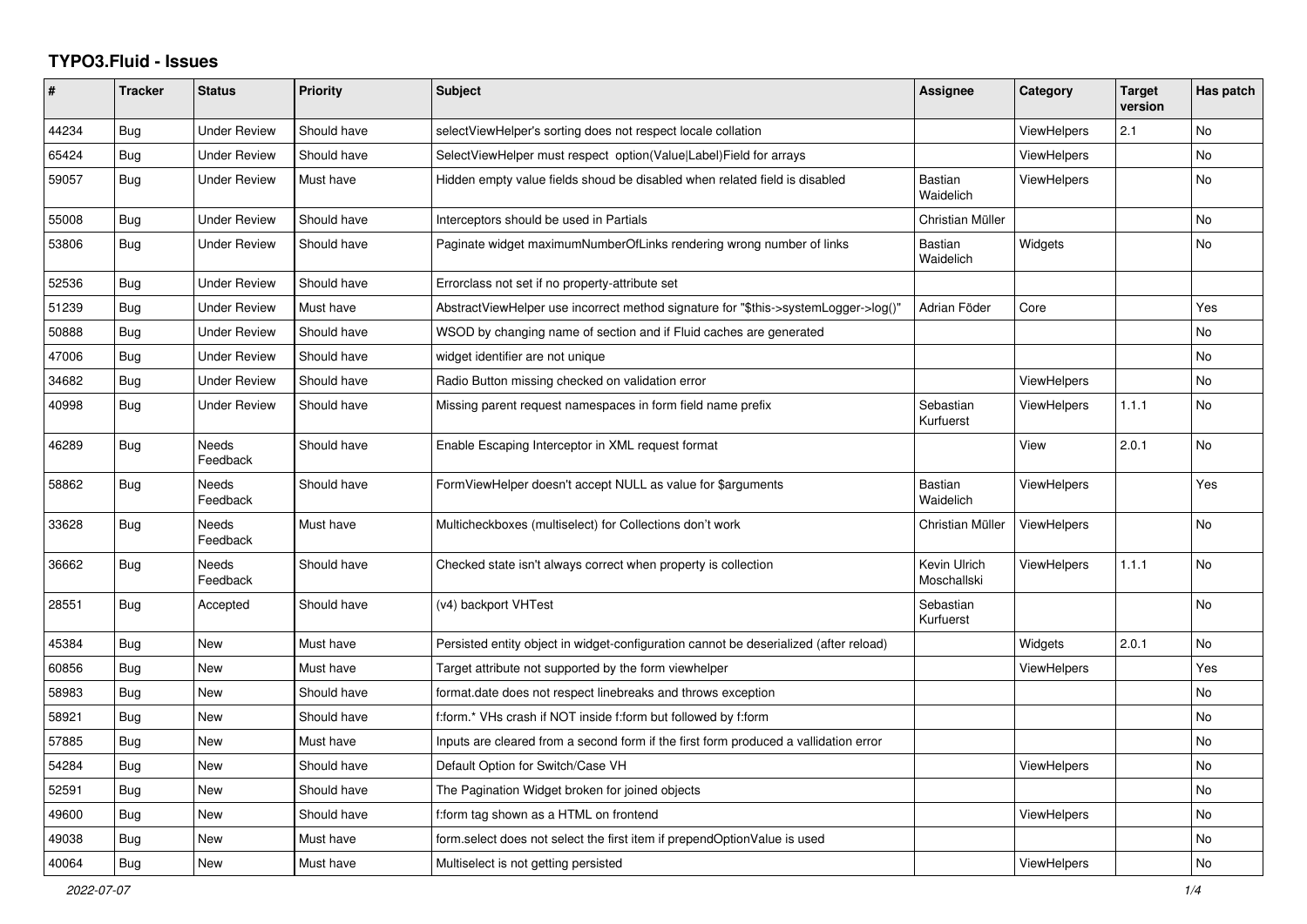## **TYPO3.Fluid - Issues**

| ∦     | <b>Tracker</b> | <b>Status</b>            | <b>Priority</b> | <b>Subject</b>                                                                        | Assignee                    | Category           | <b>Target</b><br>version | Has patch |
|-------|----------------|--------------------------|-----------------|---------------------------------------------------------------------------------------|-----------------------------|--------------------|--------------------------|-----------|
| 44234 | Bug            | <b>Under Review</b>      | Should have     | selectViewHelper's sorting does not respect locale collation                          |                             | <b>ViewHelpers</b> | 2.1                      | No        |
| 65424 | <b>Bug</b>     | <b>Under Review</b>      | Should have     | SelectViewHelper must respect option(Value Label)Field for arrays                     |                             | <b>ViewHelpers</b> |                          | No        |
| 59057 | Bug            | <b>Under Review</b>      | Must have       | Hidden empty value fields shoud be disabled when related field is disabled            | <b>Bastian</b><br>Waidelich | <b>ViewHelpers</b> |                          | No.       |
| 55008 | Bug            | <b>Under Review</b>      | Should have     | Interceptors should be used in Partials                                               | Christian Müller            |                    |                          | No        |
| 53806 | <b>Bug</b>     | Under Review             | Should have     | Paginate widget maximumNumberOfLinks rendering wrong number of links                  | <b>Bastian</b><br>Waidelich | Widgets            |                          | No        |
| 52536 | Bug            | <b>Under Review</b>      | Should have     | Errorclass not set if no property-attribute set                                       |                             |                    |                          |           |
| 51239 | Bug            | <b>Under Review</b>      | Must have       | AbstractViewHelper use incorrect method signature for "\$this->systemLogger->log()"   | Adrian Föder                | Core               |                          | Yes       |
| 50888 | Bug            | <b>Under Review</b>      | Should have     | WSOD by changing name of section and if Fluid caches are generated                    |                             |                    |                          | No        |
| 47006 | <b>Bug</b>     | <b>Under Review</b>      | Should have     | widget identifier are not unique                                                      |                             |                    |                          | No        |
| 34682 | Bug            | <b>Under Review</b>      | Should have     | Radio Button missing checked on validation error                                      |                             | <b>ViewHelpers</b> |                          | No.       |
| 40998 | <b>Bug</b>     | <b>Under Review</b>      | Should have     | Missing parent request namespaces in form field name prefix                           | Sebastian<br>Kurfuerst      | <b>ViewHelpers</b> | 1.1.1                    | No        |
| 46289 | <b>Bug</b>     | Needs<br>Feedback        | Should have     | Enable Escaping Interceptor in XML request format                                     |                             | View               | 2.0.1                    | No        |
| 58862 | Bug            | <b>Needs</b><br>Feedback | Should have     | FormViewHelper doesn't accept NULL as value for \$arguments                           | <b>Bastian</b><br>Waidelich | <b>ViewHelpers</b> |                          | Yes       |
| 33628 | Bug            | <b>Needs</b><br>Feedback | Must have       | Multicheckboxes (multiselect) for Collections don't work                              | Christian Müller            | ViewHelpers        |                          | No        |
| 36662 | <b>Bug</b>     | Needs<br>Feedback        | Should have     | Checked state isn't always correct when property is collection                        | Kevin Ulrich<br>Moschallski | <b>ViewHelpers</b> | 1.1.1                    | No        |
| 28551 | Bug            | Accepted                 | Should have     | (v4) backport VHTest                                                                  | Sebastian<br>Kurfuerst      |                    |                          | No        |
| 45384 | <b>Bug</b>     | <b>New</b>               | Must have       | Persisted entity object in widget-configuration cannot be deserialized (after reload) |                             | Widgets            | 2.0.1                    | No        |
| 60856 | <b>Bug</b>     | New                      | Must have       | Target attribute not supported by the form viewhelper                                 |                             | ViewHelpers        |                          | Yes       |
| 58983 | <b>Bug</b>     | New                      | Should have     | format.date does not respect linebreaks and throws exception                          |                             |                    |                          | No        |
| 58921 | <b>Bug</b>     | New                      | Should have     | f:form.* VHs crash if NOT inside f:form but followed by f:form                        |                             |                    |                          | No        |
| 57885 | <b>Bug</b>     | New                      | Must have       | Inputs are cleared from a second form if the first form produced a vallidation error  |                             |                    |                          | No        |
| 54284 | <b>Bug</b>     | New                      | Should have     | Default Option for Switch/Case VH                                                     |                             | <b>ViewHelpers</b> |                          | No        |
| 52591 | Bug            | New                      | Should have     | The Pagination Widget broken for joined objects                                       |                             |                    |                          | No        |
| 49600 | Bug            | New                      | Should have     | f:form tag shown as a HTML on frontend                                                |                             | <b>ViewHelpers</b> |                          | No        |
| 49038 | <b>Bug</b>     | New                      | Must have       | form select does not select the first item if prependOptionValue is used              |                             |                    |                          | No        |
| 40064 | Bug            | New                      | Must have       | Multiselect is not getting persisted                                                  |                             | <b>ViewHelpers</b> |                          | No        |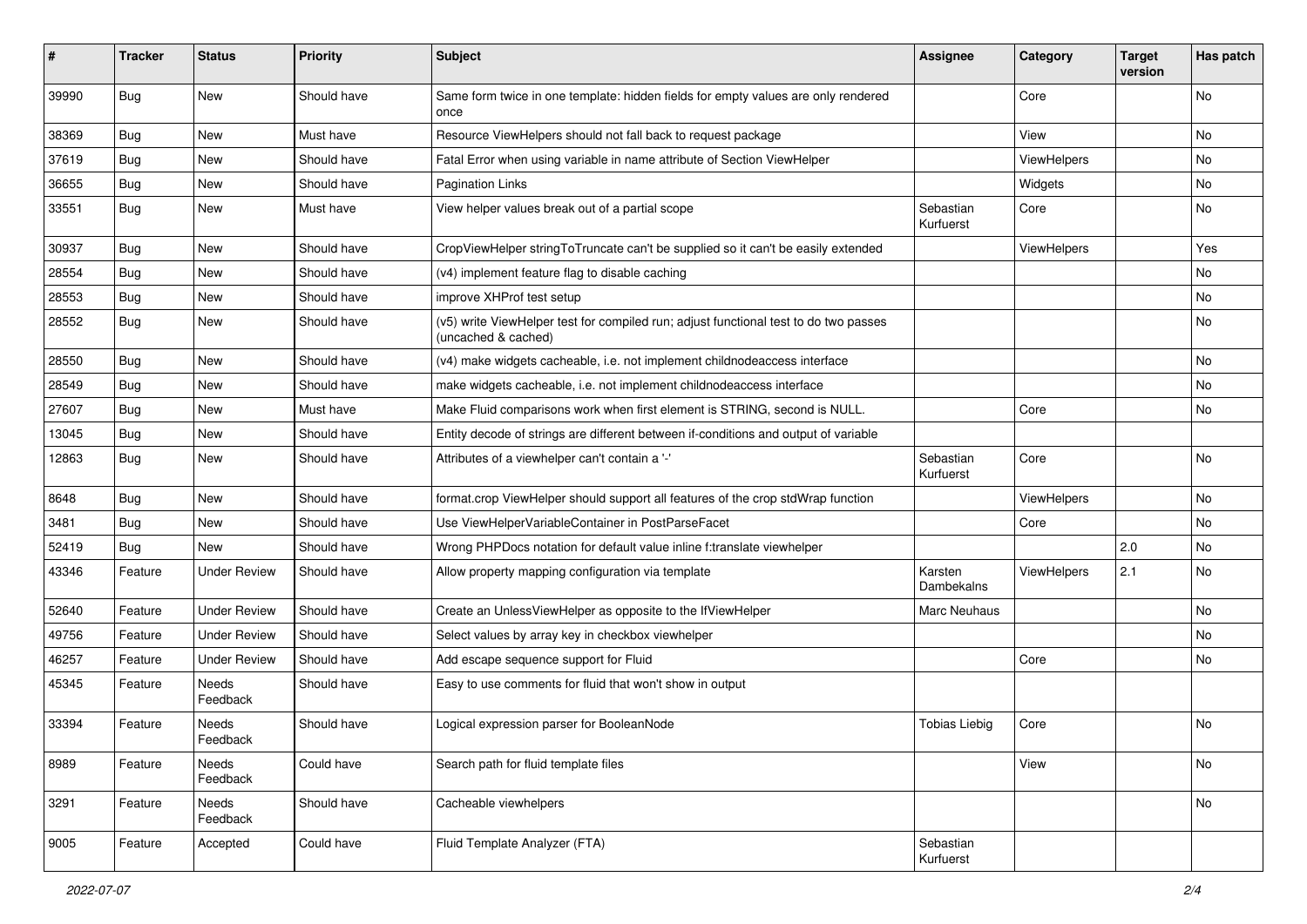| ∦     | <b>Tracker</b> | <b>Status</b>       | <b>Priority</b> | Subject                                                                                                     | <b>Assignee</b>        | Category    | <b>Target</b><br>version | Has patch |
|-------|----------------|---------------------|-----------------|-------------------------------------------------------------------------------------------------------------|------------------------|-------------|--------------------------|-----------|
| 39990 | Bug            | New                 | Should have     | Same form twice in one template: hidden fields for empty values are only rendered<br>once                   |                        | Core        |                          | No        |
| 38369 | Bug            | New                 | Must have       | Resource ViewHelpers should not fall back to request package                                                |                        | View        |                          | <b>No</b> |
| 37619 | Bug            | <b>New</b>          | Should have     | Fatal Error when using variable in name attribute of Section ViewHelper                                     |                        | ViewHelpers |                          | No        |
| 36655 | Bug            | New                 | Should have     | <b>Pagination Links</b>                                                                                     |                        | Widgets     |                          | No        |
| 33551 | Bug            | New                 | Must have       | View helper values break out of a partial scope                                                             | Sebastian<br>Kurfuerst | Core        |                          | No        |
| 30937 | Bug            | New                 | Should have     | CropViewHelper stringToTruncate can't be supplied so it can't be easily extended                            |                        | ViewHelpers |                          | Yes       |
| 28554 | Bug            | <b>New</b>          | Should have     | (v4) implement feature flag to disable caching                                                              |                        |             |                          | <b>No</b> |
| 28553 | Bug            | New                 | Should have     | improve XHProf test setup                                                                                   |                        |             |                          | No        |
| 28552 | Bug            | New                 | Should have     | (v5) write ViewHelper test for compiled run; adjust functional test to do two passes<br>(uncached & cached) |                        |             |                          | No        |
| 28550 | Bug            | <b>New</b>          | Should have     | (v4) make widgets cacheable, i.e. not implement childnodeaccess interface                                   |                        |             |                          | No        |
| 28549 | Bug            | New                 | Should have     | make widgets cacheable, i.e. not implement childnodeaccess interface                                        |                        |             |                          | No        |
| 27607 | Bug            | New                 | Must have       | Make Fluid comparisons work when first element is STRING, second is NULL.                                   |                        | Core        |                          | No        |
| 13045 | <b>Bug</b>     | New                 | Should have     | Entity decode of strings are different between if-conditions and output of variable                         |                        |             |                          |           |
| 12863 | Bug            | New                 | Should have     | Attributes of a viewhelper can't contain a '-'                                                              | Sebastian<br>Kurfuerst | Core        |                          | No        |
| 8648  | <b>Bug</b>     | New                 | Should have     | format.crop ViewHelper should support all features of the crop stdWrap function                             |                        | ViewHelpers |                          | No        |
| 3481  | Bug            | New                 | Should have     | Use ViewHelperVariableContainer in PostParseFacet                                                           |                        | Core        |                          | No        |
| 52419 | <b>Bug</b>     | New                 | Should have     | Wrong PHPDocs notation for default value inline f:translate viewhelper                                      |                        |             | 2.0                      | No        |
| 43346 | Feature        | <b>Under Review</b> | Should have     | Allow property mapping configuration via template                                                           | Karsten<br>Dambekalns  | ViewHelpers | 2.1                      | No        |
| 52640 | Feature        | <b>Under Review</b> | Should have     | Create an UnlessViewHelper as opposite to the IfViewHelper                                                  | Marc Neuhaus           |             |                          | No        |
| 49756 | Feature        | <b>Under Review</b> | Should have     | Select values by array key in checkbox viewhelper                                                           |                        |             |                          | No        |
| 46257 | Feature        | <b>Under Review</b> | Should have     | Add escape sequence support for Fluid                                                                       |                        | Core        |                          | No        |
| 45345 | Feature        | Needs<br>Feedback   | Should have     | Easy to use comments for fluid that won't show in output                                                    |                        |             |                          |           |
| 33394 | Feature        | Needs<br>Feedback   | Should have     | Logical expression parser for BooleanNode                                                                   | <b>Tobias Liebig</b>   | Core        |                          | No        |
| 8989  | Feature        | Needs<br>Feedback   | Could have      | Search path for fluid template files                                                                        |                        | View        |                          | No        |
| 3291  | Feature        | Needs<br>Feedback   | Should have     | Cacheable viewhelpers                                                                                       |                        |             |                          | No        |
| 9005  | Feature        | Accepted            | Could have      | Fluid Template Analyzer (FTA)                                                                               | Sebastian<br>Kurfuerst |             |                          |           |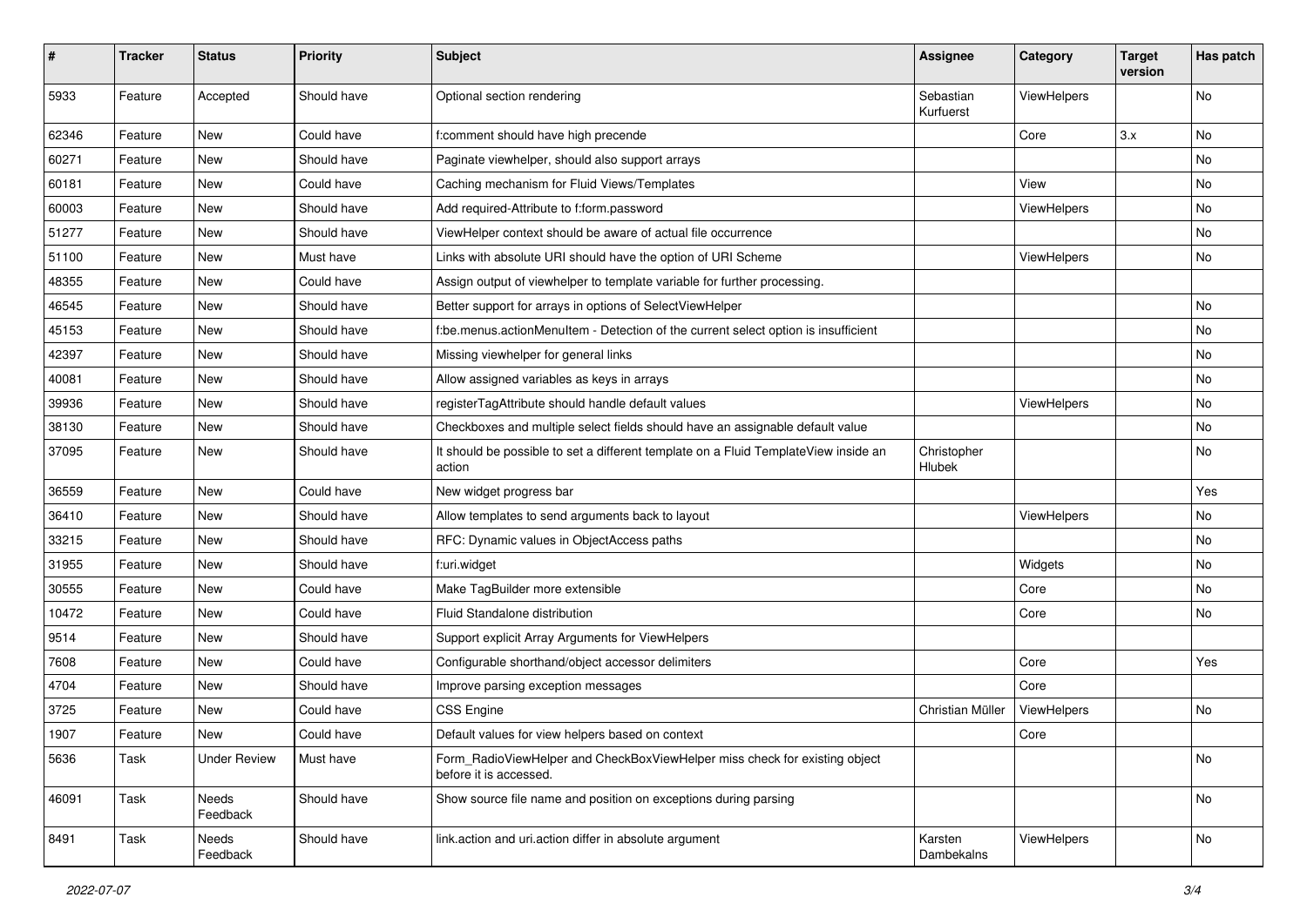| #     | <b>Tracker</b> | <b>Status</b>       | <b>Priority</b> | Subject                                                                                              | <b>Assignee</b>        | Category    | <b>Target</b><br>version | Has patch |
|-------|----------------|---------------------|-----------------|------------------------------------------------------------------------------------------------------|------------------------|-------------|--------------------------|-----------|
| 5933  | Feature        | Accepted            | Should have     | Optional section rendering                                                                           | Sebastian<br>Kurfuerst | ViewHelpers |                          | No        |
| 62346 | Feature        | New                 | Could have      | f:comment should have high precende                                                                  |                        | Core        | 3.x                      | No        |
| 60271 | Feature        | New                 | Should have     | Paginate viewhelper, should also support arrays                                                      |                        |             |                          | No        |
| 60181 | Feature        | New                 | Could have      | Caching mechanism for Fluid Views/Templates                                                          |                        | View        |                          | No        |
| 60003 | Feature        | <b>New</b>          | Should have     | Add required-Attribute to f:form.password                                                            |                        | ViewHelpers |                          | No        |
| 51277 | Feature        | New                 | Should have     | ViewHelper context should be aware of actual file occurrence                                         |                        |             |                          | No        |
| 51100 | Feature        | New                 | Must have       | Links with absolute URI should have the option of URI Scheme                                         |                        | ViewHelpers |                          | No        |
| 48355 | Feature        | New                 | Could have      | Assign output of viewhelper to template variable for further processing.                             |                        |             |                          |           |
| 46545 | Feature        | <b>New</b>          | Should have     | Better support for arrays in options of SelectViewHelper                                             |                        |             |                          | No        |
| 45153 | Feature        | New                 | Should have     | f:be.menus.actionMenuItem - Detection of the current select option is insufficient                   |                        |             |                          | No        |
| 42397 | Feature        | New                 | Should have     | Missing viewhelper for general links                                                                 |                        |             |                          | No        |
| 40081 | Feature        | New                 | Should have     | Allow assigned variables as keys in arrays                                                           |                        |             |                          | No        |
| 39936 | Feature        | New                 | Should have     | registerTagAttribute should handle default values                                                    |                        | ViewHelpers |                          | No        |
| 38130 | Feature        | New                 | Should have     | Checkboxes and multiple select fields should have an assignable default value                        |                        |             |                          | No        |
| 37095 | Feature        | New                 | Should have     | It should be possible to set a different template on a Fluid TemplateView inside an<br>action        | Christopher<br>Hlubek  |             |                          | No        |
| 36559 | Feature        | New                 | Could have      | New widget progress bar                                                                              |                        |             |                          | Yes       |
| 36410 | Feature        | New                 | Should have     | Allow templates to send arguments back to layout                                                     |                        | ViewHelpers |                          | No        |
| 33215 | Feature        | New                 | Should have     | RFC: Dynamic values in ObjectAccess paths                                                            |                        |             |                          | No        |
| 31955 | Feature        | New                 | Should have     | f:uri.widget                                                                                         |                        | Widgets     |                          | No        |
| 30555 | Feature        | New                 | Could have      | Make TagBuilder more extensible                                                                      |                        | Core        |                          | No        |
| 10472 | Feature        | New                 | Could have      | Fluid Standalone distribution                                                                        |                        | Core        |                          | No        |
| 9514  | Feature        | New                 | Should have     | Support explicit Array Arguments for ViewHelpers                                                     |                        |             |                          |           |
| 7608  | Feature        | New                 | Could have      | Configurable shorthand/object accessor delimiters                                                    |                        | Core        |                          | Yes       |
| 4704  | Feature        | New                 | Should have     | Improve parsing exception messages                                                                   |                        | Core        |                          |           |
| 3725  | Feature        | <b>New</b>          | Could have      | CSS Engine                                                                                           | Christian Müller       | ViewHelpers |                          | No        |
| 1907  | Feature        | New                 | Could have      | Default values for view helpers based on context                                                     |                        | Core        |                          |           |
| 5636  | Task           | <b>Under Review</b> | Must have       | Form RadioViewHelper and CheckBoxViewHelper miss check for existing object<br>before it is accessed. |                        |             |                          | No        |
| 46091 | Task           | Needs<br>Feedback   | Should have     | Show source file name and position on exceptions during parsing                                      |                        |             |                          | No        |
| 8491  | Task           | Needs<br>Feedback   | Should have     | link.action and uri.action differ in absolute argument                                               | Karsten<br>Dambekalns  | ViewHelpers |                          | No        |